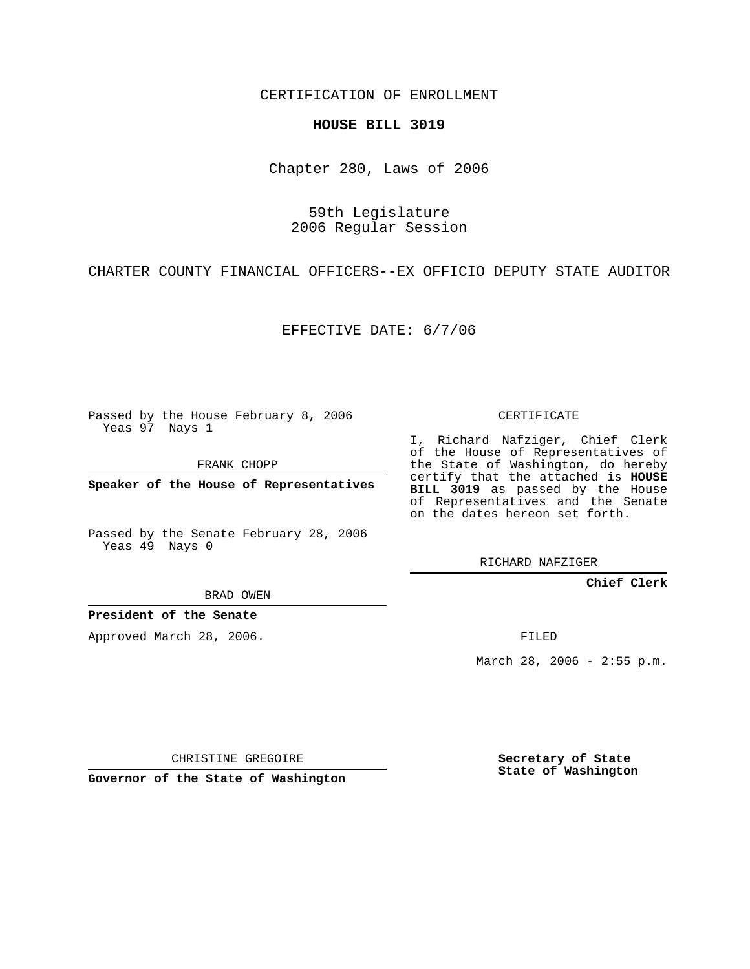CERTIFICATION OF ENROLLMENT

## **HOUSE BILL 3019**

Chapter 280, Laws of 2006

59th Legislature 2006 Regular Session

CHARTER COUNTY FINANCIAL OFFICERS--EX OFFICIO DEPUTY STATE AUDITOR

EFFECTIVE DATE: 6/7/06

Passed by the House February 8, 2006 Yeas 97 Nays 1

FRANK CHOPP

**Speaker of the House of Representatives**

Passed by the Senate February 28, 2006 Yeas 49 Nays 0

I, Richard Nafziger, Chief Clerk of the House of Representatives of the State of Washington, do hereby certify that the attached is **HOUSE BILL 3019** as passed by the House of Representatives and the Senate on the dates hereon set forth.

CERTIFICATE

RICHARD NAFZIGER

**Chief Clerk**

BRAD OWEN

**President of the Senate**

Approved March 28, 2006.

FILED

March 28, 2006 - 2:55 p.m.

CHRISTINE GREGOIRE

**Governor of the State of Washington**

**Secretary of State State of Washington**